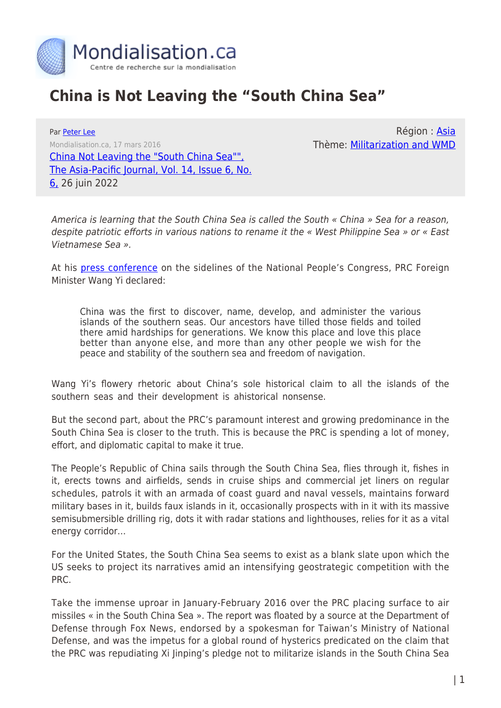

## **China is Not Leaving the "South China Sea"**

Par [Peter Lee](https://www.mondialisation.ca/author/peter-lee) Mondialisation.ca, 17 mars 2016 [China Not Leaving the "South China Sea"",](http://apjjf.org/2016/06/Lee.html) [The Asia-Pacific Journal, Vol. 14, Issue 6, No.](http://apjjf.org/2016/06/Lee.html) [6,](http://apjjf.org/2016/06/Lee.html) 26 juin 2022

Région : [Asia](https://www.mondialisation.ca/region/asia) Thème: [Militarization and WMD](https://www.mondialisation.ca/theme/militarization-and-wmd)

America is learning that the South China Sea is called the South « China » Sea for a reason, despite patriotic efforts in various nations to rename it the « West Philippine Sea » or « East Vietnamese Sea ».

At his [press conference](http://www.fmprc.gov.cn/web/wjbz_673089/zyhd_673091/t1346052.shtml) on the sidelines of the National People's Congress, PRC Foreign Minister Wang Yi declared:

China was the first to discover, name, develop, and administer the various islands of the southern seas. Our ancestors have tilled those fields and toiled there amid hardships for generations. We know this place and love this place better than anyone else, and more than any other people we wish for the peace and stability of the southern sea and freedom of navigation.

Wang Yi's flowery rhetoric about China's sole historical claim to all the islands of the southern seas and their development is ahistorical nonsense.

But the second part, about the PRC's paramount interest and growing predominance in the South China Sea is closer to the truth. This is because the PRC is spending a lot of money, effort, and diplomatic capital to make it true.

The People's Republic of China sails through the South China Sea, flies through it, fishes in it, erects towns and airfields, sends in cruise ships and commercial jet liners on regular schedules, patrols it with an armada of coast guard and naval vessels, maintains forward military bases in it, builds faux islands in it, occasionally prospects with in it with its massive semisubmersible drilling rig, dots it with radar stations and lighthouses, relies for it as a vital energy corridor…

For the United States, the South China Sea seems to exist as a blank slate upon which the US seeks to project its narratives amid an intensifying geostrategic competition with the PRC.

Take the immense uproar in January-February 2016 over the PRC placing surface to air missiles « in the South China Sea ». The report was floated by a source at the Department of Defense through Fox News, endorsed by a spokesman for Taiwan's Ministry of National Defense, and was the impetus for a global round of hysterics predicated on the claim that the PRC was repudiating Xi Jinping's pledge not to militarize islands in the South China Sea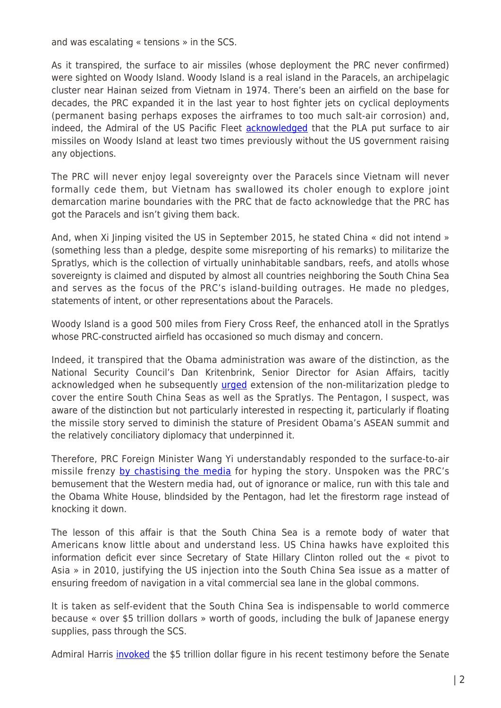and was escalating « tensions » in the SCS.

As it transpired, the surface to air missiles (whose deployment the PRC never confirmed) were sighted on Woody Island. Woody Island is a real island in the Paracels, an archipelagic cluster near Hainan seized from Vietnam in 1974. There's been an airfield on the base for decades, the PRC expanded it in the last year to host fighter jets on cyclical deployments (permanent basing perhaps exposes the airframes to too much salt-air corrosion) and, indeed, the Admiral of the US Pacific Fleet **acknowledged** that the PLA put surface to air missiles on Woody Island at least two times previously without the US government raising any objections.

The PRC will never enjoy legal sovereignty over the Paracels since Vietnam will never formally cede them, but Vietnam has swallowed its choler enough to explore joint demarcation marine boundaries with the PRC that de facto acknowledge that the PRC has got the Paracels and isn't giving them back.

And, when Xi Jinping visited the US in September 2015, he stated China « did not intend » (something less than a pledge, despite some misreporting of his remarks) to militarize the Spratlys, which is the collection of virtually uninhabitable sandbars, reefs, and atolls whose sovereignty is claimed and disputed by almost all countries neighboring the South China Sea and serves as the focus of the PRC's island-building outrages. He made no pledges, statements of intent, or other representations about the Paracels.

Woody Island is a good 500 miles from Fiery Cross Reef, the enhanced atoll in the Spratlys whose PRC-constructed airfield has occasioned so much dismay and concern.

Indeed, it transpired that the Obama administration was aware of the distinction, as the National Security Council's Dan Kritenbrink, Senior Director for Asian Affairs, tacitly acknowledged when he subsequently *urged* extension of the non-militarization pledge to cover the entire South China Seas as well as the Spratlys. The Pentagon, I suspect, was aware of the distinction but not particularly interested in respecting it, particularly if floating the missile story served to diminish the stature of President Obama's ASEAN summit and the relatively conciliatory diplomacy that underpinned it.

Therefore, PRC Foreign Minister Wang Yi understandably responded to the surface-to-air missile frenzy [by chastising the media](http://www.usnews.com/news/world/articles/2016-02-16/south-china-sea-key-on-agenda-for-bishops-visit-to-beijing) for hyping the story. Unspoken was the PRC's bemusement that the Western media had, out of ignorance or malice, run with this tale and the Obama White House, blindsided by the Pentagon, had let the firestorm rage instead of knocking it down.

The lesson of this affair is that the South China Sea is a remote body of water that Americans know little about and understand less. US China hawks have exploited this information deficit ever since Secretary of State Hillary Clinton rolled out the « pivot to Asia » in 2010, justifying the US injection into the South China Sea issue as a matter of ensuring freedom of navigation in a vital commercial sea lane in the global commons.

It is taken as self-evident that the South China Sea is indispensable to world commerce because « over \$5 trillion dollars » worth of goods, including the bulk of Japanese energy supplies, pass through the SCS.

Admiral Harris *invoked* the \$5 trillion dollar figure in his recent testimony before the Senate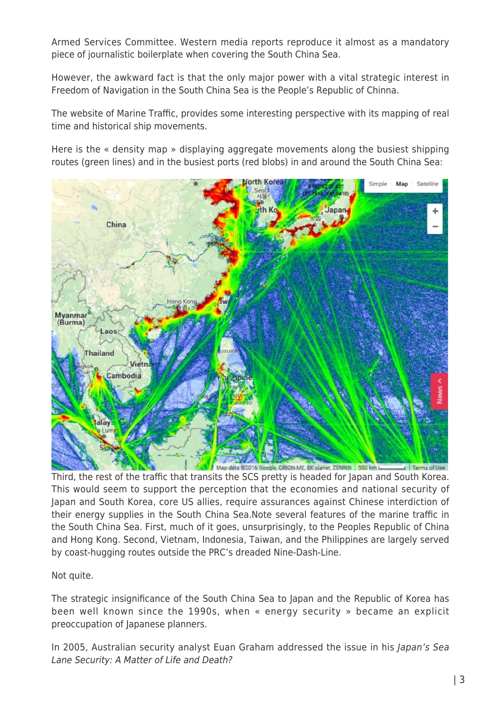Armed Services Committee. Western media reports reproduce it almost as a mandatory piece of journalistic boilerplate when covering the South China Sea.

However, the awkward fact is that the only major power with a vital strategic interest in Freedom of Navigation in the South China Sea is the People's Republic of Chinna.

The website of Marine Traffic, provides some interesting perspective with its mapping of real time and historical ship movements.

Here is the « density map » displaying aggregate movements along the busiest shipping routes (green lines) and in the busiest ports (red blobs) in and around the South China Sea:



Map data @2016 Google, ORION-ME, SK planet, ZENRIN | 500 km L Third, the rest of the traffic that transits the SCS pretty is headed for Japan and South Korea. This would seem to support the perception that the economies and national security of Japan and South Korea, core US allies, require assurances against Chinese interdiction of their energy supplies in the South China Sea.Note several features of the marine traffic in the South China Sea. First, much of it goes, unsurprisingly, to the Peoples Republic of China and Hong Kong. Second, Vietnam, Indonesia, Taiwan, and the Philippines are largely served by coast-hugging routes outside the PRC's dreaded Nine-Dash-Line.

Not quite.

The strategic insignificance of the South China Sea to Japan and the Republic of Korea has been well known since the 1990s, when « energy security » became an explicit preoccupation of Japanese planners.

In 2005, Australian security analyst Euan Graham addressed the issue in his Japan's Sea Lane Security: A Matter of Life and Death?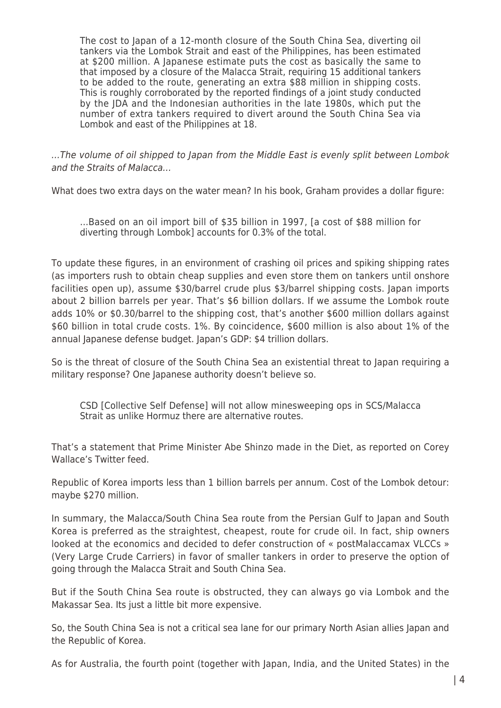The cost to Japan of a 12-month closure of the South China Sea, diverting oil tankers via the Lombok Strait and east of the Philippines, has been estimated at \$200 million. A Japanese estimate puts the cost as basically the same to that imposed by a closure of the Malacca Strait, requiring 15 additional tankers to be added to the route, generating an extra \$88 million in shipping costs. This is roughly corroborated by the reported findings of a joint study conducted by the JDA and the Indonesian authorities in the late 1980s, which put the number of extra tankers required to divert around the South China Sea via Lombok and east of the Philippines at 18.

…The volume of oil shipped to Japan from the Middle East is evenly split between Lombok and the Straits of Malacca…

What does two extra days on the water mean? In his book, Graham provides a dollar figure:

…Based on an oil import bill of \$35 billion in 1997, [a cost of \$88 million for diverting through Lombok] accounts for 0.3% of the total.

To update these figures, in an environment of crashing oil prices and spiking shipping rates (as importers rush to obtain cheap supplies and even store them on tankers until onshore facilities open up), assume \$30/barrel crude plus \$3/barrel shipping costs. Japan imports about 2 billion barrels per year. That's \$6 billion dollars. If we assume the Lombok route adds 10% or \$0.30/barrel to the shipping cost, that's another \$600 million dollars against \$60 billion in total crude costs. 1%. By coincidence, \$600 million is also about 1% of the annual Japanese defense budget. Japan's GDP: \$4 trillion dollars.

So is the threat of closure of the South China Sea an existential threat to Japan requiring a military response? One Japanese authority doesn't believe so.

CSD [Collective Self Defense] will not allow minesweeping ops in SCS/Malacca Strait as unlike Hormuz there are alternative routes.

That's a statement that Prime Minister Abe Shinzo made in the Diet, as reported on Corey Wallace's Twitter feed.

Republic of Korea imports less than 1 billion barrels per annum. Cost of the Lombok detour: maybe \$270 million.

In summary, the Malacca/South China Sea route from the Persian Gulf to Japan and South Korea is preferred as the straightest, cheapest, route for crude oil. In fact, ship owners looked at the economics and decided to defer construction of « postMalaccamax VLCCs » (Very Large Crude Carriers) in favor of smaller tankers in order to preserve the option of going through the Malacca Strait and South China Sea.

But if the South China Sea route is obstructed, they can always go via Lombok and the Makassar Sea. Its just a little bit more expensive.

So, the South China Sea is not a critical sea lane for our primary North Asian allies Japan and the Republic of Korea.

As for Australia, the fourth point (together with Japan, India, and the United States) in the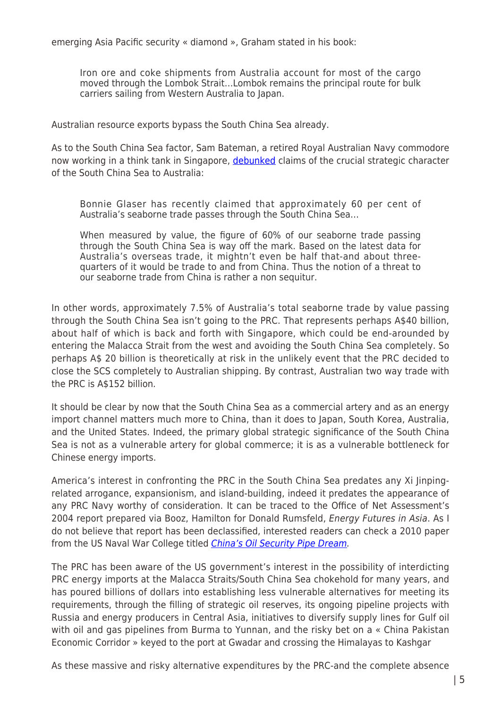emerging Asia Pacific security « diamond », Graham stated in his book:

Iron ore and coke shipments from Australia account for most of the cargo moved through the Lombok Strait…Lombok remains the principal route for bulk carriers sailing from Western Australia to Japan.

Australian resource exports bypass the South China Sea already.

As to the South China Sea factor, Sam Bateman, a retired Royal Australian Navy commodore now working in a think tank in Singapore, [debunked](http://chinamatters.blogspot.com/2015/06/what-should-be-final-word-on-freedom-of.html) claims of the crucial strategic character of the South China Sea to Australia:

Bonnie Glaser has recently claimed that approximately 60 per cent of Australia's seaborne trade passes through the South China Sea…

When measured by value, the figure of 60% of our seaborne trade passing through the South China Sea is way off the mark. Based on the latest data for Australia's overseas trade, it mightn't even be half that-and about threequarters of it would be trade to and from China. Thus the notion of a threat to our seaborne trade from China is rather a non sequitur.

In other words, approximately 7.5% of Australia's total seaborne trade by value passing through the South China Sea isn't going to the PRC. That represents perhaps A\$40 billion, about half of which is back and forth with Singapore, which could be end-arounded by entering the Malacca Strait from the west and avoiding the South China Sea completely. So perhaps A\$ 20 billion is theoretically at risk in the unlikely event that the PRC decided to close the SCS completely to Australian shipping. By contrast, Australian two way trade with the PRC is A\$152 billion.

It should be clear by now that the South China Sea as a commercial artery and as an energy import channel matters much more to China, than it does to Japan, South Korea, Australia, and the United States. Indeed, the primary global strategic significance of the South China Sea is not as a vulnerable artery for global commerce; it is as a vulnerable bottleneck for Chinese energy imports.

America's interest in confronting the PRC in the South China Sea predates any Xi Jinpingrelated arrogance, expansionism, and island-building, indeed it predates the appearance of any PRC Navy worthy of consideration. It can be traced to the Office of Net Assessment's 2004 report prepared via Booz, Hamilton for Donald Rumsfeld, Energy Futures in Asia. As I do not believe that report has been declassified, interested readers can check a 2010 paper from the US Naval War College titled *[China's Oil Security Pipe Dream](http://china.praguesummerschools.org/files/china/1china2012.pdf).* 

The PRC has been aware of the US government's interest in the possibility of interdicting PRC energy imports at the Malacca Straits/South China Sea chokehold for many years, and has poured billions of dollars into establishing less vulnerable alternatives for meeting its requirements, through the filling of strategic oil reserves, its ongoing pipeline projects with Russia and energy producers in Central Asia, initiatives to diversify supply lines for Gulf oil with oil and gas pipelines from Burma to Yunnan, and the risky bet on a « China Pakistan Economic Corridor » keyed to the port at Gwadar and crossing the Himalayas to Kashgar

As these massive and risky alternative expenditures by the PRC-and the complete absence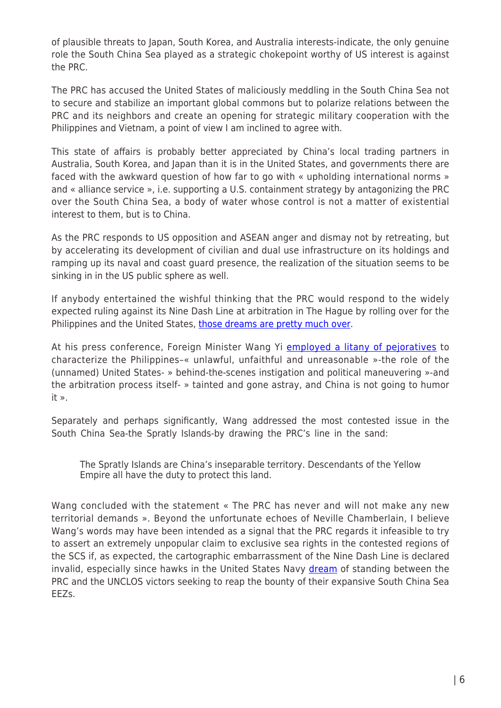of plausible threats to Japan, South Korea, and Australia interests-indicate, the only genuine role the South China Sea played as a strategic chokepoint worthy of US interest is against the PRC.

The PRC has accused the United States of maliciously meddling in the South China Sea not to secure and stabilize an important global commons but to polarize relations between the PRC and its neighbors and create an opening for strategic military cooperation with the Philippines and Vietnam, a point of view I am inclined to agree with.

This state of affairs is probably better appreciated by China's local trading partners in Australia, South Korea, and Japan than it is in the United States, and governments there are faced with the awkward question of how far to go with « upholding international norms » and « alliance service », i.e. supporting a U.S. containment strategy by antagonizing the PRC over the South China Sea, a body of water whose control is not a matter of existential interest to them, but is to China.

As the PRC responds to US opposition and ASEAN anger and dismay not by retreating, but by accelerating its development of civilian and dual use infrastructure on its holdings and ramping up its naval and coast guard presence, the realization of the situation seems to be sinking in in the US public sphere as well.

If anybody entertained the wishful thinking that the PRC would respond to the widely expected ruling against its Nine Dash Line at arbitration in The Hague by rolling over for the Philippines and the United States, [those dreams are pretty much over.](http://www.sfchronicle.com/news/world/article/China-says-it-won-t-budge-on-South-China-Sea-6876569.php)

At his press conference, Foreign Minister Wang Yi [employed a litany of pejoratives](http://www.fmprc.gov.cn/mfa_eng/wjb_663304/wjbz_663308/activities_663312/t1346238.shtml) to characterize the Philippines–« unlawful, unfaithful and unreasonable »-the role of the (unnamed) United States- » behind-the-scenes instigation and political maneuvering »-and the arbitration process itself- » tainted and gone astray, and China is not going to humor it ».

Separately and perhaps significantly, Wang addressed the most contested issue in the South China Sea-the Spratly Islands-by drawing the PRC's line in the sand:

The Spratly Islands are China's inseparable territory. Descendants of the Yellow Empire all have the duty to protect this land.

Wang concluded with the statement « The PRC has never and will not make any new territorial demands ». Beyond the unfortunate echoes of Neville Chamberlain, I believe Wang's words may have been intended as a signal that the PRC regards it infeasible to try to assert an extremely unpopular claim to exclusive sea rights in the contested regions of the SCS if, as expected, the cartographic embarrassment of the Nine Dash Line is declared invalid, especially since hawks in the United States Navy [dream](http://blogs.reuters.com/great-debate/2015/10/29/south-china-sea-islands-only-demilitarized-until-first-warbird-touches-down/) of standing between the PRC and the UNCLOS victors seeking to reap the bounty of their expansive South China Sea EEZs.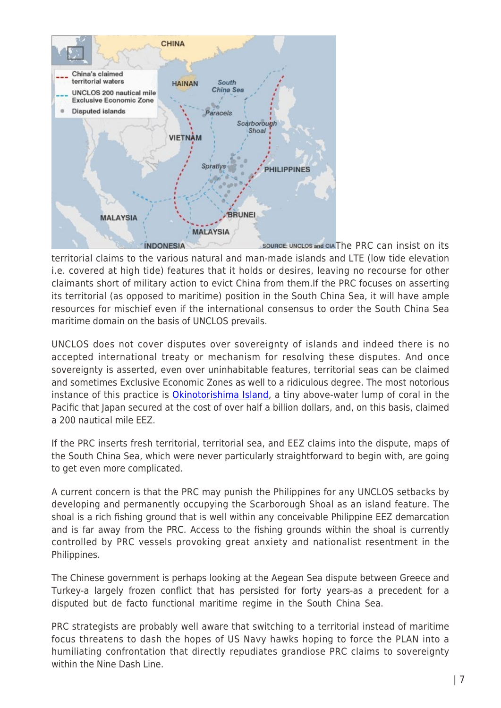

source: UNCLOS and CIA[T](http://apjjf.org/data/4869-02.jpg)he PRC can insist on its territorial claims to the various natural and man-made islands and LTE (low tide elevation i.e. covered at high tide) features that it holds or desires, leaving no recourse for other claimants short of military action to evict China from them.If the PRC focuses on asserting its territorial (as opposed to maritime) position in the South China Sea, it will have ample resources for mischief even if the international consensus to order the South China Sea maritime domain on the basis of UNCLOS prevails.

UNCLOS does not cover disputes over sovereignty of islands and indeed there is no accepted international treaty or mechanism for resolving these disputes. And once sovereignty is asserted, even over uninhabitable features, territorial seas can be claimed and sometimes Exclusive Economic Zones as well to a ridiculous degree. The most notorious instance of this practice is *[Okinotorishima Island](http://atimes.com/2015/07/okinotorishima-ization-south-china-sea-arbitration-case-enters-middle-game/)*, a tiny above-water lump of coral in the Pacific that Japan secured at the cost of over half a billion dollars, and, on this basis, claimed a 200 nautical mile EEZ.

If the PRC inserts fresh territorial, territorial sea, and EEZ claims into the dispute, maps of the South China Sea, which were never particularly straightforward to begin with, are going to get even more complicated.

A current concern is that the PRC may punish the Philippines for any UNCLOS setbacks by developing and permanently occupying the Scarborough Shoal as an island feature. The shoal is a rich fishing ground that is well within any conceivable Philippine EEZ demarcation and is far away from the PRC. Access to the fishing grounds within the shoal is currently controlled by PRC vessels provoking great anxiety and nationalist resentment in the Philippines.

The Chinese government is perhaps looking at the Aegean Sea dispute between Greece and Turkey-a largely frozen conflict that has persisted for forty years-as a precedent for a disputed but de facto functional maritime regime in the South China Sea.

PRC strategists are probably well aware that switching to a territorial instead of maritime focus threatens to dash the hopes of US Navy hawks hoping to force the PLAN into a humiliating confrontation that directly repudiates grandiose PRC claims to sovereignty within the Nine Dash Line.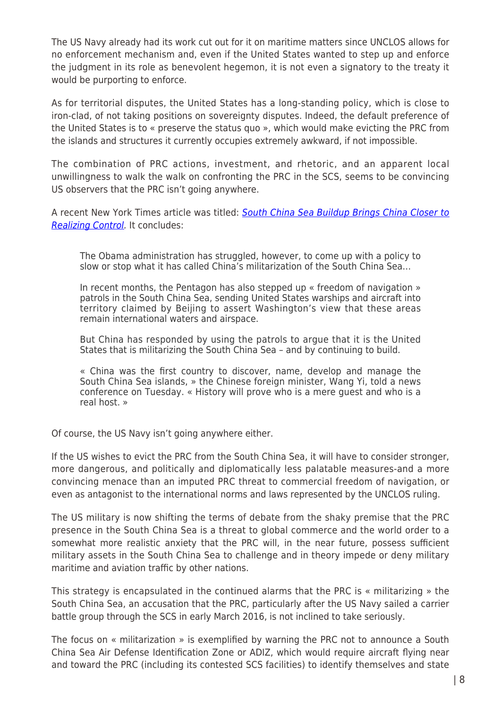The US Navy already had its work cut out for it on maritime matters since UNCLOS allows for no enforcement mechanism and, even if the United States wanted to step up and enforce the judgment in its role as benevolent hegemon, it is not even a signatory to the treaty it would be purporting to enforce.

As for territorial disputes, the United States has a long-standing policy, which is close to iron-clad, of not taking positions on sovereignty disputes. Indeed, the default preference of the United States is to « preserve the status quo », which would make evicting the PRC from the islands and structures it currently occupies extremely awkward, if not impossible.

The combination of PRC actions, investment, and rhetoric, and an apparent local unwillingness to walk the walk on confronting the PRC in the SCS, seems to be convincing US observers that the PRC isn't going anywhere.

A recent New York Times article was titled: [South China Sea Buildup Brings China Closer to](http://www.nytimes.com/2016/03/09/world/asia/south-china-sea-militarization.html?_r=0) [Realizing Control](http://www.nytimes.com/2016/03/09/world/asia/south-china-sea-militarization.html?_r=0). It concludes:

The Obama administration has struggled, however, to come up with a policy to slow or stop what it has called China's militarization of the South China Sea…

In recent months, the Pentagon has also stepped up « freedom of navigation » patrols in the South China Sea, sending United States warships and aircraft into territory claimed by Beijing to assert Washington's view that these areas remain international waters and airspace.

But China has responded by using the patrols to argue that it is the United States that is militarizing the South China Sea – and by continuing to build.

« China was the first country to discover, name, develop and manage the South China Sea islands, » the Chinese foreign minister, Wang Yi, told a news conference on Tuesday. « History will prove who is a mere guest and who is a real host. »

Of course, the US Navy isn't going anywhere either.

If the US wishes to evict the PRC from the South China Sea, it will have to consider stronger, more dangerous, and politically and diplomatically less palatable measures-and a more convincing menace than an imputed PRC threat to commercial freedom of navigation, or even as antagonist to the international norms and laws represented by the UNCLOS ruling.

The US military is now shifting the terms of debate from the shaky premise that the PRC presence in the South China Sea is a threat to global commerce and the world order to a somewhat more realistic anxiety that the PRC will, in the near future, possess sufficient military assets in the South China Sea to challenge and in theory impede or deny military maritime and aviation traffic by other nations.

This strategy is encapsulated in the continued alarms that the PRC is « militarizing » the South China Sea, an accusation that the PRC, particularly after the US Navy sailed a carrier battle group through the SCS in early March 2016, is not inclined to take seriously.

The focus on « militarization » is exemplified by warning the PRC not to announce a South China Sea Air Defense Identification Zone or ADIZ, which would require aircraft flying near and toward the PRC (including its contested SCS facilities) to identify themselves and state